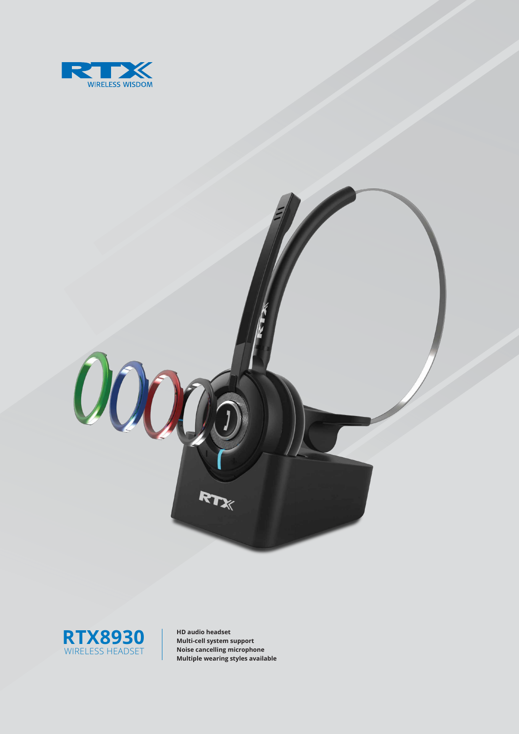





**HD audio headset Multi-cell system support Noise cancelling microphone Multiple wearing styles available**